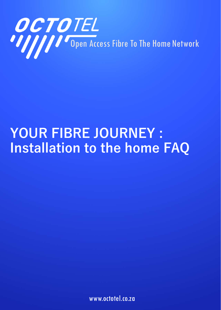

# **YOUR FIBRE JOURNEY : Installation to the home FAQ**

www.octotel.co.za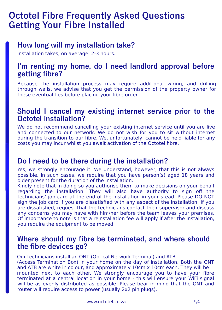# **Octotel Fibre Frequently Asked Questions Getting Your Fibre Installed**

#### **How long will my installation take?**

Installation takes, on average, 2-3 hours.

#### **I'm renting my home, do I need landlord approval before getting fibre?**

Because the installation process may require additional wiring, and drilling through walls, we advise that you get the permission of the property owner for these eventualities before placing your fibre order.

#### **Should I cancel my existing internet service prior to the Octotel installation?**

We do not recommend cancelling your existing internet service until you are live and connected to our network. We do not wish for you to sit without internet during the transition to our fibre. We, unfortunately, cannot be held liable for any costs you may incur whilst you await activation of the Octotel fibre.

#### **Do I need to be there during the installation?**

Yes, we strongly encourage it. We understand, however, that this is not always possible. In such cases, we require that you have person(s) aged 18 years and older present for the duration of the installation.

Kindly note that in doing so you authorise them to make decisions on your behalf regarding the installation. They will also have authority to sign off the technicians' job card at the end of the installation in your stead. Please DO NOT sign the job card if you are dissatisfied with any aspect of the installation. If you are dissatisfied, request that the technicians contact their supervisor and discuss any concerns you may have with him/her before the team leaves your premises. Of importance to note is that a reinstallation fee will apply if after the installation, you require the equipment to be moved.

#### **Where should my fibre be terminated, and where should the fibre devices go?**

Our technicians install an ONT (Optical Network Terminal) and ATB

(Access Termination Box) in your home on the day of installation. Both the ONT and ATB are white in colour, and approximately 10cm x 10cm each. They will be mounted next to each other. We strongly encourage you to have your fibre terminated at a central location in your home - this will ensure your WiFi signal will be as evenly distributed as possible. Please bear in mind that the ONT and router will require access to power (usually 2x2 pin plugs).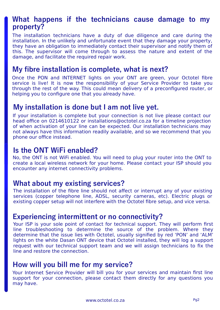#### **What happens if the technicians cause damage to my property?**

The installation technicians have a duty of due diligence and care during the installation. In the unlikely and unfortunate event that they damage your property, they have an obligation to immediately contact their supervisor and notify them of this. The supervisor will come through to assess the nature and extent of the damage, and facilitate the required repair work.

#### **My fibre installation is complete, what is next?**

Once the PON and INTERNET lights on your ONT are green, your Octotel fibre service is live! It is now the responsibility of your Service Provider to take you through the rest of the way. This could mean delivery of a preconfigured router, or helping you to configure one that you already have.

#### **My installation is done but I am not live yet.**

If your installation is complete but your connection is not live please contact our head office on 0214610122 or installations@octotel.co.za for a timeline projection of when activation of your line can be expected. Our installation technicians may not always have this information readily available, and so we recommend that you phone our office instead.

#### **Is the ONT WiFi enabled?**

No, the ONT is not WiFi enabled. You will need to plug your router into the ONT to create a local wireless network for your home. Please contact your ISP should you encounter any internet connectivity problems.

#### **What about my existing services?**

The installation of the fibre line should not affect or interrupt any of your existing services (copper telephone line, ADSL, security cameras, etc). Electric plugs or existing copper setup will not interfere with the Octotel fibre setup, and vice versa.

#### **Experiencing intermittent or no connectivity?**

Your ISP is your sole point of contact for technical support. They will perform first line troubleshooting to determine the source of the problem. Where they determine that the issue lies with Octotel, usually signified by red 'PON' and 'ALM' lights on the white Dasan ONT device that Octotel installed, they will log a support request with our technical support team and we will assign technicians to fix the line and restore the connection.

#### **How will you bill me for my service?**

Your Internet Service Provider will bill you for your services and maintain first line support for your connection, please contact them directly for any questions you may have.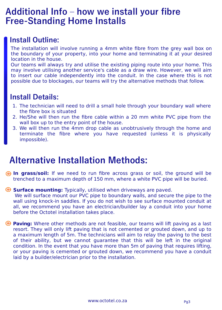# **Additional Info – how we install your fibre Free-Standing Home Installs**

#### **Install Outline:**

The installation will involve running a 4mm white fibre from the grey wall box on the boundary of your property, into your home and terminating it at your desired location in the house.

Our teams will always try and utilise the existing piping route into your home. This may involve utilising another service's cable as a draw wire. However, we will aim to insert our cable independently into the conduit. In the case where this is not possible due to blockages, our teams will try the alternative methods that follow.

#### **Install Details:**

- 1. The technician will need to drill a small hole through your boundary wall where the fibre box is situated
- 2. He/She will then run the fibre cable within a 20 mm white PVC pipe from the wall box up to the entry point of the house.
- We will then run the 4mm drop cable as unobtrusively through the home and 3. terminate the fibre where you have requested (unless it is physically impossible).

# **Alternative Installation Methods:**

**In grass/soil:** If we need to run fibre across grass or soil, the ground will be trenched to a maximum depth of 150 mm, where a white PVC pipe will be buried.

#### **Surface mounting:** Typically, utilised when driveways are paved.

 We will surface mount our PVC pipe to boundary walls, and secure the pipe to the wall using knock-in saddles. If you do not wish to see surface mounted conduit at all, we recommend you have an electrician/builder lay a conduit into your home before the Octotel installation takes place.

**Paving:** Where other methods are not feasible, our teams will lift paving as a last resort. They will only lift paving that is not cemented or grouted down, and up to a maximum length of 5m. The technicians will aim to relay the paving to the best of their ability, but we cannot guarantee that this will be left in the original condition. In the event that you have more than 5m of paving that requires lifting, or your paving is cemented or grouted down, we recommend you have a conduit laid by a builder/electrician prior to the installation.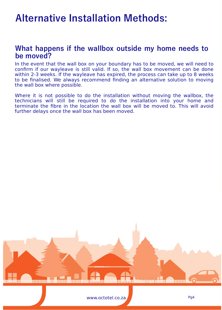# **Alternative Installation Methods:**

#### **What happens if the wallbox outside my home needs to be moved?**

In the event that the wall box on your boundary has to be moved, we will need to confirm if our wayleave is still valid. If so, the wall box movement can be done within 2-3 weeks. If the wayleave has expired, the process can take up to 8 weeks to be finalised. We always recommend finding an alternative solution to moving the wall box where possible.

Where it is not possible to do the installation without moving the wallbox, the technicians will still be required to do the installation into your home and terminate the fibre in the location the wall box will be moved to. This will avoid further delays once the wall box has been moved.

mundurmu

www.octotel.co.za